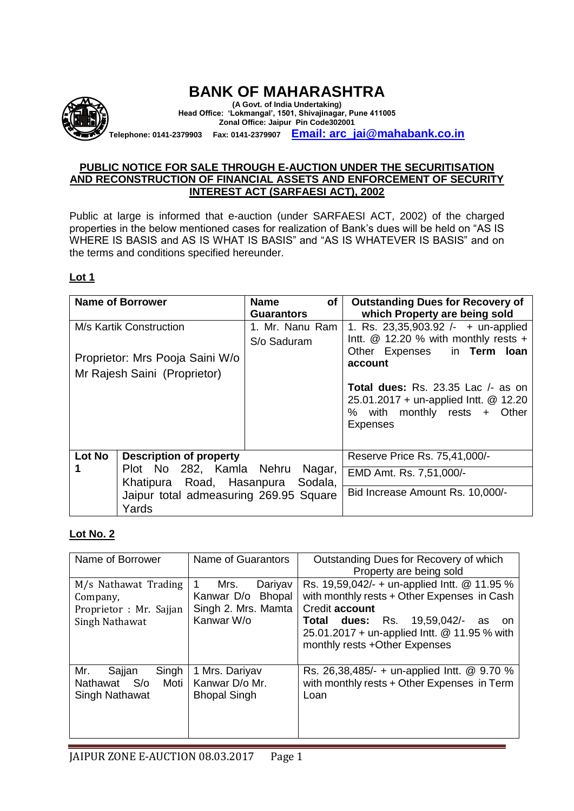

# **BANK OF MAHARASHTRA**

**(A Govt. of India Undertaking) Head Office: 'Lokmangal', 1501, Shivajinagar, Pune 411005 Zonal Office: Jaipur Pin Code302001 Telephone: 0141-2379903 Fax: 0141-2379907 [Email: arc\\_jai@mahabank.co.in](mailto:Email:%20arc_jai@mahabank.co.in)**

#### **PUBLIC NOTICE FOR SALE THROUGH E-AUCTION UNDER THE SECURITISATION AND RECONSTRUCTION OF FINANCIAL ASSETS AND ENFORCEMENT OF SECURITY INTEREST ACT (SARFAESI ACT), 2002**

Public at large is informed that e-auction (under SARFAESI ACT, 2002) of the charged properties in the below mentioned cases for realization of Bank's dues will be held on "AS IS WHERE IS BASIS and AS IS WHAT IS BASIS" and "AS IS WHATEVER IS BASIS" and on the terms and conditions specified hereunder.

#### **Lot 1**

|        | <b>Name of Borrower</b>                | <b>Name</b><br>of | <b>Outstanding Dues for Recovery of</b>                                                    |
|--------|----------------------------------------|-------------------|--------------------------------------------------------------------------------------------|
|        |                                        | <b>Guarantors</b> | which Property are being sold                                                              |
|        | M/s Kartik Construction                | 1. Mr. Nanu Ram   | 1. Rs. 23,35,903.92 $/-$ + un-applied                                                      |
|        |                                        | S/o Saduram       | Intt. $@$ 12.20 % with monthly rests +                                                     |
|        | Proprietor: Mrs Pooja Saini W/o        |                   | Other Expenses in Term Ioan                                                                |
|        |                                        |                   | account                                                                                    |
|        | Mr Rajesh Saini (Proprietor)           |                   |                                                                                            |
|        |                                        |                   | <b>Total dues:</b> Rs. 23.35 Lac $\prime$ - as on<br>25.01.2017 + un-applied Intt. @ 12.20 |
|        |                                        |                   | % with monthly rests + Other<br><b>Expenses</b>                                            |
| Lot No | <b>Description of property</b>         |                   | Reserve Price Rs. 75,41,000/-                                                              |
|        | Plot No 282, Kamla Nehru               | Nagar,            | EMD Amt. Rs. 7,51,000/-                                                                    |
|        | Khatipura Road, Hasanpura              | Sodala,           |                                                                                            |
|        | Jaipur total admeasuring 269.95 Square |                   | Bid Increase Amount Rs. 10,000/-                                                           |
|        | Yards                                  |                   |                                                                                            |

#### **Lot No. 2**

| Name of Borrower                                                              | Name of Guarantors                                                        | Outstanding Dues for Recovery of which<br>Property are being sold                                                                                                                                                                                 |
|-------------------------------------------------------------------------------|---------------------------------------------------------------------------|---------------------------------------------------------------------------------------------------------------------------------------------------------------------------------------------------------------------------------------------------|
| M/s Nathawat Trading<br>Company,<br>Proprietor : Mr. Sajjan<br>Singh Nathawat | Mrs.<br>Dariyav<br>Kanwar D/o Bhopal<br>Singh 2. Mrs. Mamta<br>Kanwar W/o | Rs. 19,59,042/- + un-applied Intt. @ 11.95 %<br>with monthly rests + Other Expenses in Cash<br>Credit account<br><b>Total dues:</b> Rs. 19,59,042/-<br>as<br>on.<br>25.01.2017 + un-applied Intt. @ 11.95 % with<br>monthly rests +Other Expenses |
| Mr.<br>Singh<br>Sajjan<br>Moti<br>Nathawat S/o<br>Singh Nathawat              | 1 Mrs. Dariyav<br>Kanwar D/o Mr.<br><b>Bhopal Singh</b>                   | Rs. 26,38,485/- + un-applied Intt. @ 9.70 %<br>with monthly rests + Other Expenses in Term<br>Loan                                                                                                                                                |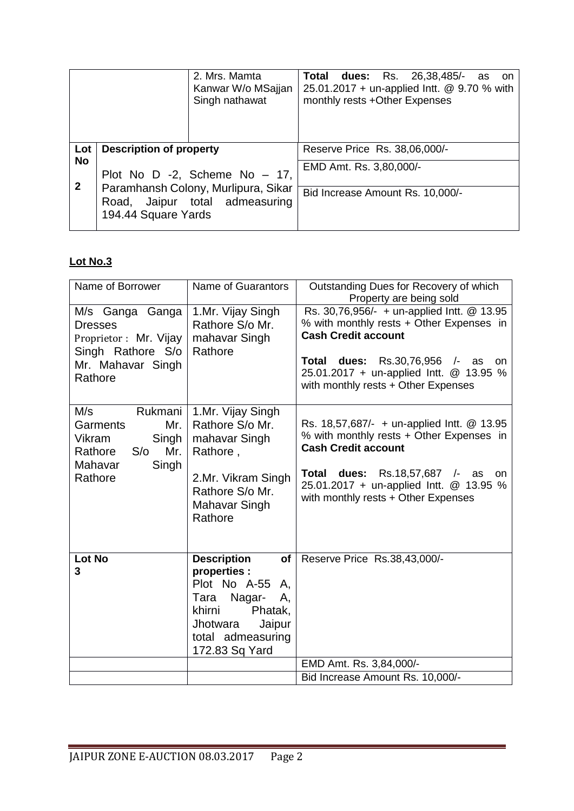|              |                                | 2. Mrs. Mamta<br>Kanwar W/o MSajjan<br>Singh nathawat                 | <b>Total dues:</b> Rs. 26,38,485/-<br>as<br><b>on</b><br>25.01.2017 + un-applied Intt. @ 9.70 % with<br>monthly rests +Other Expenses |
|--------------|--------------------------------|-----------------------------------------------------------------------|---------------------------------------------------------------------------------------------------------------------------------------|
| Lot          | <b>Description of property</b> |                                                                       | Reserve Price Rs. 38,06,000/-                                                                                                         |
| <b>No</b>    |                                |                                                                       | EMD Amt. Rs. 3,80,000/-                                                                                                               |
| $\mathbf{2}$ |                                | Plot No D -2, Scheme No $-17$ ,                                       |                                                                                                                                       |
|              | 194.44 Square Yards            | Paramhansh Colony, Murlipura, Sikar<br>Road, Jaipur total admeasuring | Bid Increase Amount Rs. 10,000/-                                                                                                      |
|              |                                |                                                                       |                                                                                                                                       |

# **Lot No.3**

| Name of Borrower                                                                                                | Name of Guarantors                                                                                                                                                       | Outstanding Dues for Recovery of which<br>Property are being sold                                                                                                                                                                                           |
|-----------------------------------------------------------------------------------------------------------------|--------------------------------------------------------------------------------------------------------------------------------------------------------------------------|-------------------------------------------------------------------------------------------------------------------------------------------------------------------------------------------------------------------------------------------------------------|
| M/s Ganga Ganga<br><b>Dresses</b><br>Proprietor: Mr. Vijay<br>Singh Rathore S/o<br>Mr. Mahavar Singh<br>Rathore | 1.Mr. Vijay Singh<br>Rathore S/o Mr.<br>mahavar Singh<br>Rathore                                                                                                         | Rs. 30,76,956/- + un-applied Intt. @ 13.95<br>% with monthly rests + Other Expenses in<br><b>Cash Credit account</b><br>dues: Rs.30,76,956 /-<br>Total<br>as<br><b>on</b><br>25.01.2017 + un-applied Intt. @ 13.95 %<br>with monthly rests + Other Expenses |
| M/s<br>Rukmani<br>Garments<br>Mr.<br>Vikram<br>Singh<br>Mr.<br>Rathore<br>S/O<br>Mahavar<br>Singh<br>Rathore    | 1.Mr. Vijay Singh<br>Rathore S/o Mr.<br>mahavar Singh<br>Rathore,<br>2.Mr. Vikram Singh<br>Rathore S/o Mr.<br>Mahavar Singh<br>Rathore                                   | Rs. 18,57,687/- + un-applied Intt. @ 13.95<br>% with monthly rests + Other Expenses in<br><b>Cash Credit account</b><br>Total dues:<br>Rs.18,57,687 /-<br>as<br>on<br>25.01.2017 + un-applied Intt. @ 13.95 %<br>with monthly rests + Other Expenses        |
| <b>Lot No</b><br>3                                                                                              | <b>Description</b><br>of<br>properties :<br>Plot No A-55<br>Α,<br>Tara<br>Nagar-<br>Α,<br>khirni<br>Phatak,<br>Jaipur<br>Jhotwara<br>total admeasuring<br>172.83 Sq Yard | Reserve Price Rs.38,43,000/-<br>EMD Amt. Rs. 3,84,000/-                                                                                                                                                                                                     |
|                                                                                                                 |                                                                                                                                                                          | Bid Increase Amount Rs. 10,000/-                                                                                                                                                                                                                            |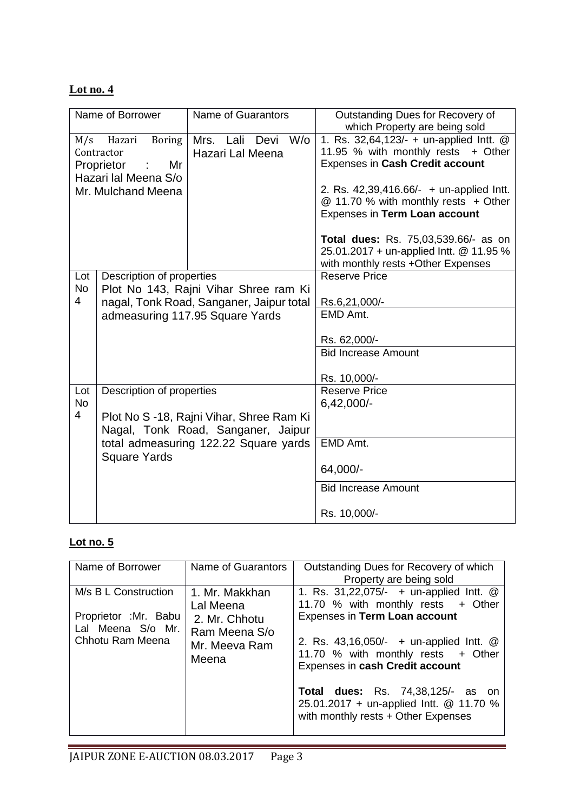| Name of Borrower                                                                                                            |                                                                                                                | <b>Name of Guarantors</b>                                                      | Outstanding Dues for Recovery of<br>which Property are being sold                                                                                                                                                                     |
|-----------------------------------------------------------------------------------------------------------------------------|----------------------------------------------------------------------------------------------------------------|--------------------------------------------------------------------------------|---------------------------------------------------------------------------------------------------------------------------------------------------------------------------------------------------------------------------------------|
| Hazari<br><b>Boring</b><br>M/s<br>Contractor<br>Proprietor<br>Mr<br>$\sim 10$<br>Hazari lal Meena S/o<br>Mr. Mulchand Meena |                                                                                                                | Mrs. Lali Devi W/o<br>Hazari Lal Meena                                         | 1. Rs. 32,64,123/- + un-applied Intt. @<br>11.95 % with monthly rests + Other<br>Expenses in Cash Credit account<br>2. Rs. 42,39,416.66/- + un-applied Intt.<br>@ 11.70 % with monthly rests + Other<br>Expenses in Term Loan account |
|                                                                                                                             |                                                                                                                |                                                                                | Total dues: Rs. 75,03,539.66/- as on<br>25.01.2017 + un-applied Intt. @ 11.95 %<br>with monthly rests +Other Expenses                                                                                                                 |
| Lot<br><b>No</b><br>$\overline{\mathcal{A}}$                                                                                | Description of properties<br>Plot No 143, Rajni Vihar Shree ram Ki<br>nagal, Tonk Road, Sanganer, Jaipur total |                                                                                | <b>Reserve Price</b><br>Rs.6,21,000/-                                                                                                                                                                                                 |
|                                                                                                                             |                                                                                                                | admeasuring 117.95 Square Yards                                                | EMD Amt.                                                                                                                                                                                                                              |
|                                                                                                                             |                                                                                                                |                                                                                | Rs. 62,000/-<br><b>Bid Increase Amount</b>                                                                                                                                                                                            |
|                                                                                                                             |                                                                                                                |                                                                                | Rs. 10,000/-                                                                                                                                                                                                                          |
| Lot                                                                                                                         | Description of properties                                                                                      |                                                                                | <b>Reserve Price</b>                                                                                                                                                                                                                  |
| <b>No</b><br>$\overline{4}$                                                                                                 |                                                                                                                | Plot No S -18, Rajni Vihar, Shree Ram Ki<br>Nagal, Tonk Road, Sanganer, Jaipur | 6,42,000/-                                                                                                                                                                                                                            |
|                                                                                                                             | <b>Square Yards</b>                                                                                            | total admeasuring 122.22 Square yards                                          | EMD Amt.                                                                                                                                                                                                                              |
|                                                                                                                             |                                                                                                                |                                                                                | 64,000/-                                                                                                                                                                                                                              |
|                                                                                                                             |                                                                                                                |                                                                                | <b>Bid Increase Amount</b>                                                                                                                                                                                                            |
|                                                                                                                             |                                                                                                                |                                                                                | Rs. 10,000/-                                                                                                                                                                                                                          |

### **Lot no. 5**

| Name of Borrower                                                                       | Name of Guarantors                                                                      | Outstanding Dues for Recovery of which<br>Property are being sold                                                                                                                                                                                                                                                                                                |
|----------------------------------------------------------------------------------------|-----------------------------------------------------------------------------------------|------------------------------------------------------------------------------------------------------------------------------------------------------------------------------------------------------------------------------------------------------------------------------------------------------------------------------------------------------------------|
| M/s B L Construction<br>Proprietor : Mr. Babu<br>Lal Meena S/o Mr.<br>Chhotu Ram Meena | 1. Mr. Makkhan<br>Lal Meena<br>2. Mr. Chhotu<br>Ram Meena S/o<br>Mr. Meeva Ram<br>Meena | 1. Rs. 31,22,075/- + un-applied Intt. @<br>11.70 % with monthly rests + Other<br>Expenses in Term Loan account<br>2. Rs. 43,16,050/- + un-applied lntt. @<br>11.70 % with monthly rests + Other<br>Expenses in cash Credit account<br><b>Total dues:</b> Rs. 74,38,125/- as on<br>25.01.2017 + un-applied Intt. @ 11.70 %<br>with monthly rests + Other Expenses |
|                                                                                        |                                                                                         |                                                                                                                                                                                                                                                                                                                                                                  |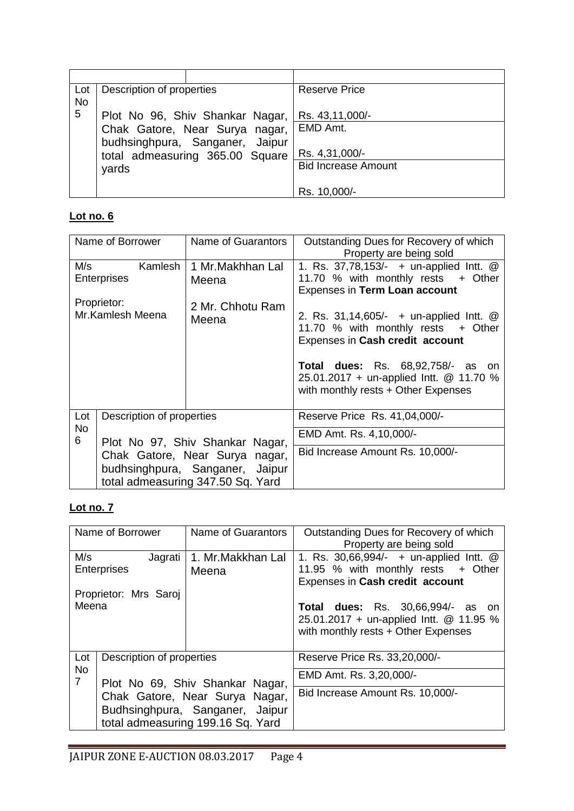| Lot       | Description of properties |                                 | <b>Reserve Price</b>       |
|-----------|---------------------------|---------------------------------|----------------------------|
| <b>No</b> |                           |                                 |                            |
| 5         |                           | Plot No 96, Shiv Shankar Nagar, | Rs. 43,11,000/-            |
|           |                           | Chak Gatore, Near Surya nagar,  | EMD Amt.                   |
|           |                           | budhsinghpura, Sanganer, Jaipur |                            |
|           |                           | total admeasuring 365.00 Square | Rs. 4,31,000/-             |
|           | yards                     |                                 | <b>Bid Increase Amount</b> |
|           |                           |                                 |                            |
|           |                           |                                 | Rs. 10,000/-               |

| Name of Borrower                                                                                       |                               | Name of Guarantors              | Outstanding Dues for Recovery of which                                                                                     |
|--------------------------------------------------------------------------------------------------------|-------------------------------|---------------------------------|----------------------------------------------------------------------------------------------------------------------------|
|                                                                                                        |                               |                                 | Property are being sold                                                                                                    |
| M/s                                                                                                    | Kamlesh<br><b>Enterprises</b> | 1 Mr.Makhhan Lal<br>Meena       | 1. Rs. 37,78,153/- + un-applied Intt. @<br>11.70 % with monthly rests + Other                                              |
|                                                                                                        |                               |                                 | Expenses in Term Loan account                                                                                              |
| Proprietor:<br>Mr.Kamlesh Meena                                                                        |                               | 2 Mr. Chhotu Ram<br>Meena       | 2. Rs. $31,14,605/-$ + un-applied lntt. $@$<br>11.70 % with monthly rests + Other<br>Expenses in Cash credit account       |
|                                                                                                        |                               |                                 |                                                                                                                            |
|                                                                                                        |                               |                                 | <b>Total dues:</b> Rs. 68,92,758/- as on<br>25.01.2017 + un-applied Intt. @ 11.70 %<br>with monthly rests + Other Expenses |
| Lot                                                                                                    | Description of properties     |                                 | Reserve Price Rs. 41,04,000/-                                                                                              |
| <b>No</b><br>6                                                                                         |                               | Plot No 97, Shiv Shankar Nagar, | EMD Amt. Rs. 4,10,000/-                                                                                                    |
| Chak Gatore, Near Surya nagar,<br>budhsinghpura, Sanganer, Jaipur<br>total admeasuring 347.50 Sq. Yard |                               |                                 | Bid Increase Amount Rs. 10,000/-                                                                                           |

# **Lot no. 7**

| Name of Borrower            |                           | Name of Guarantors                                                                                     | Outstanding Dues for Recovery of which<br>Property are being sold                                                                 |
|-----------------------------|---------------------------|--------------------------------------------------------------------------------------------------------|-----------------------------------------------------------------------------------------------------------------------------------|
| M/s<br>Enterprises          | Jagrati                   | 1. Mr.Makkhan Lal<br>Meena                                                                             | 1. Rs. 30,66,994/- + un-applied Intt. @<br>11.95 % with monthly rests + Other<br>Expenses in Cash credit account                  |
| Meena                       | Proprietor: Mrs Saroj     |                                                                                                        | <b>Total dues:</b> Rs. 30,66,994/-<br>as<br>.on<br>25.01.2017 + un-applied Intt. @ 11.95 %<br>with monthly rests + Other Expenses |
| Lot                         | Description of properties |                                                                                                        | Reserve Price Rs. 33,20,000/-                                                                                                     |
| <b>No</b><br>$\overline{7}$ |                           | Plot No 69, Shiv Shankar Nagar,                                                                        | EMD Amt. Rs. 3,20,000/-                                                                                                           |
|                             |                           | Chak Gatore, Near Surya Nagar,<br>Budhsinghpura, Sanganer, Jaipur<br>total admeasuring 199.16 Sq. Yard | Bid Increase Amount Rs. 10,000/-                                                                                                  |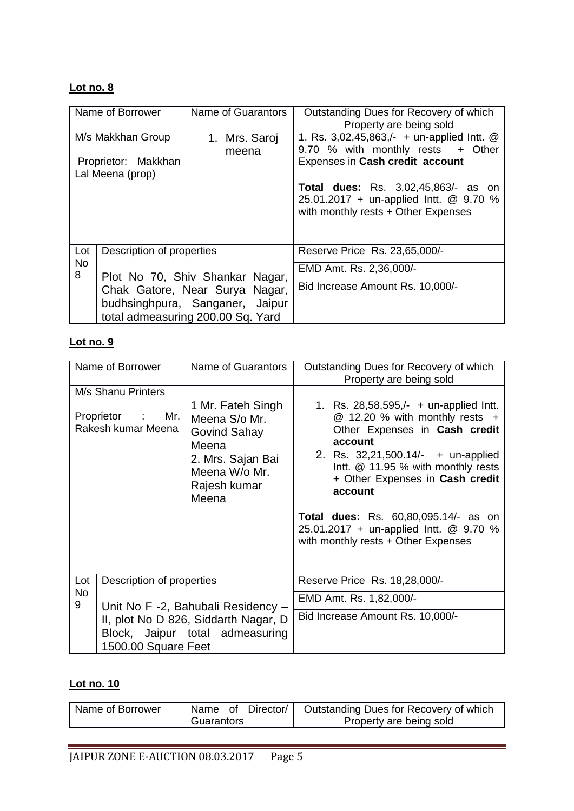| Name of Borrower                        |                           | Name of Guarantors                                                                                     | Outstanding Dues for Recovery of which<br>Property are being sold                                                           |
|-----------------------------------------|---------------------------|--------------------------------------------------------------------------------------------------------|-----------------------------------------------------------------------------------------------------------------------------|
|                                         | M/s Makkhan Group         | 1. Mrs. Saroj                                                                                          | 1. Rs. $3,02,45,863/-$ + un-applied Intt. @                                                                                 |
| Proprietor: Makkhan<br>Lal Meena (prop) |                           | meena                                                                                                  | 9.70 % with monthly rests + Other<br>Expenses in Cash credit account                                                        |
|                                         |                           |                                                                                                        | <b>Total dues:</b> Rs. 3,02,45,863/- as on<br>25.01.2017 + un-applied Intt. @ 9.70 %<br>with monthly rests + Other Expenses |
| Lot                                     | Description of properties |                                                                                                        | Reserve Price Rs. 23,65,000/-                                                                                               |
| <b>No</b><br>8                          |                           | Plot No 70, Shiv Shankar Nagar,                                                                        | EMD Amt. Rs. 2,36,000/-                                                                                                     |
|                                         |                           | Chak Gatore, Near Surya Nagar,<br>budhsinghpura, Sanganer, Jaipur<br>total admeasuring 200.00 Sq. Yard | Bid Increase Amount Rs. 10,000/-                                                                                            |

### **Lot no. 9**

| Name of Borrower                                                                               |                                    | Name of Guarantors                                                                                                         | Outstanding Dues for Recovery of which<br>Property are being sold                                                                                                                                                                                                                                                                                                                   |  |
|------------------------------------------------------------------------------------------------|------------------------------------|----------------------------------------------------------------------------------------------------------------------------|-------------------------------------------------------------------------------------------------------------------------------------------------------------------------------------------------------------------------------------------------------------------------------------------------------------------------------------------------------------------------------------|--|
| M/s Shanu Printers<br>Proprietor : Mr.<br>Rakesh kumar Meena                                   |                                    | 1 Mr. Fateh Singh<br>Meena S/o Mr.<br>Govind Sahay<br>Meena<br>2. Mrs. Sajan Bai<br>Meena W/o Mr.<br>Rajesh kumar<br>Meena | 1. Rs. $28,58,595/-$ + un-applied lntt.<br>$@$ 12.20 % with monthly rests $+$<br>Other Expenses in Cash credit<br>account<br>2. Rs. 32,21,500.14/- + un-applied<br>Intt. @ 11.95 % with monthly rests<br>+ Other Expenses in Cash credit<br>account<br><b>Total dues:</b> Rs. 60,80,095.14/- as on<br>25.01.2017 + un-applied Intt. @ 9.70 %<br>with monthly rests + Other Expenses |  |
| Lot                                                                                            | Description of properties          |                                                                                                                            | Reserve Price Rs. 18,28,000/-                                                                                                                                                                                                                                                                                                                                                       |  |
| <b>No</b><br>9                                                                                 | Unit No F -2, Bahubali Residency - |                                                                                                                            | EMD Amt. Rs. 1,82,000/-                                                                                                                                                                                                                                                                                                                                                             |  |
| II, plot No D 826, Siddarth Nagar, D<br>Block, Jaipur total admeasuring<br>1500.00 Square Feet |                                    |                                                                                                                            | Bid Increase Amount Rs. 10,000/-                                                                                                                                                                                                                                                                                                                                                    |  |

# **Lot no. 10**

| Name of Borrower |            | Name of Director/ | Outstanding Dues for Recovery of which |
|------------------|------------|-------------------|----------------------------------------|
|                  | Guarantors |                   | Property are being sold                |
|                  |            |                   |                                        |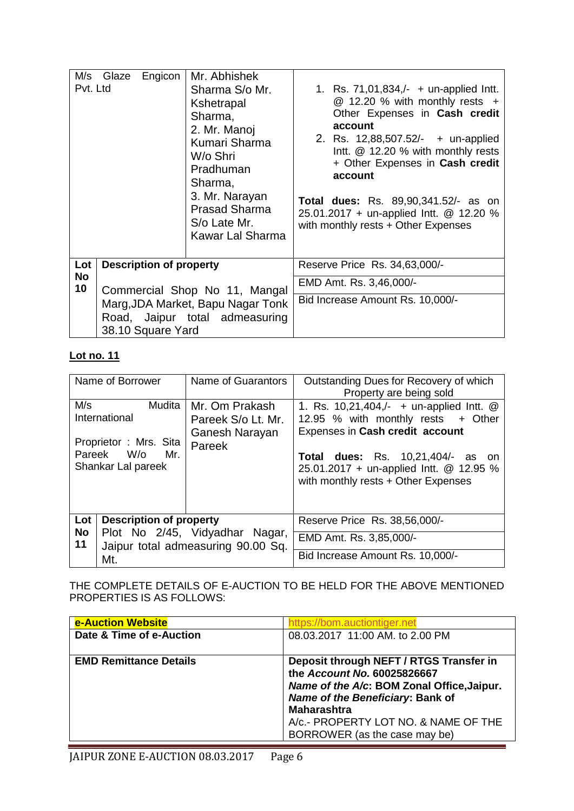| Pvt. Ltd               | Engicon<br>M/s Glaze                                            | Mr. Abhishek<br>Sharma S/o Mr.<br>Kshetrapal<br>Sharma,<br>2. Mr. Manoj<br>Kumari Sharma<br>W/o Shri<br>Pradhuman<br>Sharma,<br>3. Mr. Narayan<br><b>Prasad Sharma</b><br>S/o Late Mr.<br>Kawar Lal Sharma | 1. Rs. $71,01,834/- +$ un-applied lntt.<br>$@$ 12.20 % with monthly rests $+$<br>Other Expenses in Cash credit<br>account<br>2. Rs. 12,88,507.52/- + un-applied<br>Intt. @ 12.20 % with monthly rests<br>+ Other Expenses in Cash credit<br>account<br><b>Total dues:</b> Rs. 89,90,341.52/- as on<br>25.01.2017 + un-applied Intt. @ 12.20 %<br>with monthly rests + Other Expenses |
|------------------------|-----------------------------------------------------------------|------------------------------------------------------------------------------------------------------------------------------------------------------------------------------------------------------------|--------------------------------------------------------------------------------------------------------------------------------------------------------------------------------------------------------------------------------------------------------------------------------------------------------------------------------------------------------------------------------------|
| Lot<br><b>No</b><br>10 | <b>Description of property</b><br>Commercial Shop No 11, Mangal |                                                                                                                                                                                                            | Reserve Price Rs. 34,63,000/-                                                                                                                                                                                                                                                                                                                                                        |
|                        |                                                                 |                                                                                                                                                                                                            | EMD Amt. Rs. 3,46,000/-                                                                                                                                                                                                                                                                                                                                                              |
|                        | 38.10 Square Yard                                               | Marg, JDA Market, Bapu Nagar Tonk<br>Road, Jaipur total admeasuring                                                                                                                                        | Bid Increase Amount Rs. 10,000/-                                                                                                                                                                                                                                                                                                                                                     |

| Name of Borrower                        | Name of Guarantors                                                   | Outstanding Dues for Recovery of which<br>Property are being sold                                                               |
|-----------------------------------------|----------------------------------------------------------------------|---------------------------------------------------------------------------------------------------------------------------------|
| M/s<br>Mudita<br>International          | Mr. Om Prakash                                                       | 1. Rs. 10,21,404,/- $+$ un-applied lntt. $@$                                                                                    |
| Proprietor: Mrs. Sita                   | Pareek S/o Lt. Mr.<br>Ganesh Narayan                                 | 12.95 % with monthly rests + Other<br>Expenses in Cash credit account                                                           |
| Pareek W/o<br>Mr.<br>Shankar Lal pareek | Pareek                                                               | <b>Total dues:</b> Rs. 10,21,404/- as<br>- on<br>25.01.2017 + un-applied Intt. @ 12.95 %<br>with monthly rests + Other Expenses |
| Lot                                     | <b>Description of property</b>                                       | Reserve Price Rs. 38,56,000/-                                                                                                   |
| No<br>11                                | Plot No 2/45, Vidyadhar Nagar,<br>Jaipur total admeasuring 90.00 Sq. | EMD Amt. Rs. 3,85,000/-                                                                                                         |
| Mt.                                     |                                                                      | Bid Increase Amount Rs. 10,000/-                                                                                                |

THE COMPLETE DETAILS OF E-AUCTION TO BE HELD FOR THE ABOVE MENTIONED PROPERTIES IS AS FOLLOWS:

| <b>e-Auction Website</b>      | https://bom.auctiontiger.net                                                                                                                                                                                                                            |
|-------------------------------|---------------------------------------------------------------------------------------------------------------------------------------------------------------------------------------------------------------------------------------------------------|
| Date & Time of e-Auction      | 08.03.2017 11:00 AM. to 2.00 PM                                                                                                                                                                                                                         |
| <b>EMD Remittance Details</b> | Deposit through NEFT / RTGS Transfer in<br>the Account No. 60025826667<br>Name of the A/c: BOM Zonal Office, Jaipur.<br>Name of the Beneficiary: Bank of<br><b>Maharashtra</b><br>A/c.- PROPERTY LOT NO. & NAME OF THE<br>BORROWER (as the case may be) |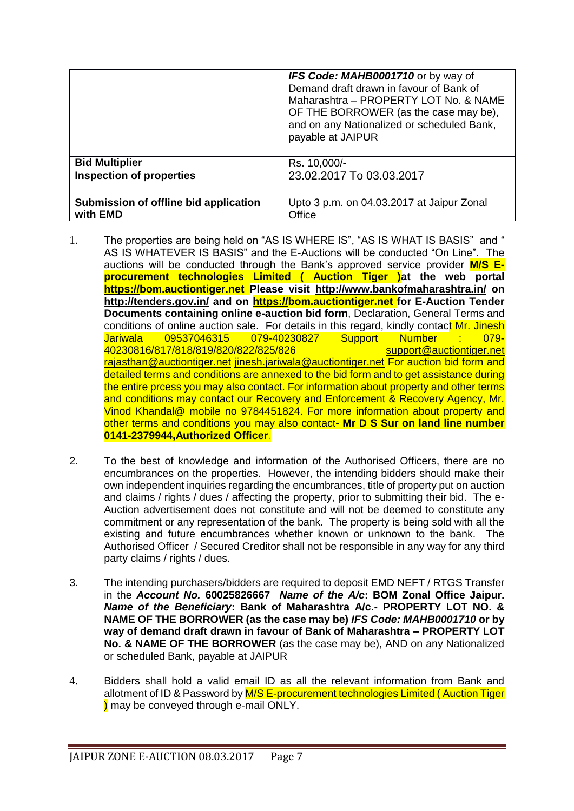|                                                   | <b>IFS Code: MAHB0001710</b> or by way of<br>Demand draft drawn in favour of Bank of<br>Maharashtra - PROPERTY LOT No. & NAME<br>OF THE BORROWER (as the case may be),<br>and on any Nationalized or scheduled Bank,<br>payable at JAIPUR |
|---------------------------------------------------|-------------------------------------------------------------------------------------------------------------------------------------------------------------------------------------------------------------------------------------------|
| <b>Bid Multiplier</b>                             | Rs. 10,000/-                                                                                                                                                                                                                              |
| <b>Inspection of properties</b>                   | 23.02.2017 To 03.03.2017                                                                                                                                                                                                                  |
| Submission of offline bid application<br>with EMD | Upto 3 p.m. on 04.03.2017 at Jaipur Zonal<br>Office                                                                                                                                                                                       |

- 1. The properties are being held on "AS IS WHERE IS", "AS IS WHAT IS BASIS" and " AS IS WHATEVER IS BASIS" and the E-Auctions will be conducted "On Line". The auctions will be conducted through the Bank's approved service provider **M/S Eprocurement technologies Limited ( Auction Tiger )at the web portal [https://b](https://eauction.npasource.com/)om.auctiontiger.net Please visit <http://www.bankofmaharashtra.in/> on <http://tenders.gov.in/> and on [https://b](https://eauction.npasource.com/)om.auctiontiger.net for E-Auction Tender Documents containing online e-auction bid form, Declaration, General Terms and** conditions of online auction sale. For details in this regard, kindly contact Mr. Jinesh Jariwala 09537046315 079-40230827 Support Number : 079- 40230816/817/818/819/820/822/825/826 [support@auctiontiger.net](mailto:support@auctiontiger.net)  [rajasthan@auctiontiger.net](mailto:rajasthan@auctiontiger.net) [jinesh.jariwala@auctiontiger.net](mailto:jinesh.jariwala@auctiontiger.net) For auction bid form and detailed terms and conditions are annexed to the bid form and to get assistance during the entire prcess you may also contact. For information about property and other terms and conditions may contact our Recovery and Enforcement & Recovery Agency, Mr. Vinod Khandal@ mobile no 9784451824. For more information about property and other terms and conditions you may also contact- **Mr D S Sur on land line number 0141-2379944,Authorized Officer**.
- 2. To the best of knowledge and information of the Authorised Officers, there are no encumbrances on the properties. However, the intending bidders should make their own independent inquiries regarding the encumbrances, title of property put on auction and claims / rights / dues / affecting the property, prior to submitting their bid. The e-Auction advertisement does not constitute and will not be deemed to constitute any commitment or any representation of the bank. The property is being sold with all the existing and future encumbrances whether known or unknown to the bank. The Authorised Officer / Secured Creditor shall not be responsible in any way for any third party claims / rights / dues.
- 3. The intending purchasers/bidders are required to deposit EMD NEFT / RTGS Transfer in the *Account No.* **60025826667** *Name of the A/c***: BOM Zonal Office Jaipur.**  *Name of the Beneficiary***: Bank of Maharashtra A/c.- PROPERTY LOT NO. & NAME OF THE BORROWER (as the case may be)** *IFS Code: MAHB0001710* **or by way of demand draft drawn in favour of Bank of Maharashtra – PROPERTY LOT No. & NAME OF THE BORROWER** (as the case may be), AND on any Nationalized or scheduled Bank, payable at JAIPUR
- 4. Bidders shall hold a valid email ID as all the relevant information from Bank and allotment of ID & Password by M/S E-procurement technologies Limited (Auction Tiger ) may be conveyed through e-mail ONLY.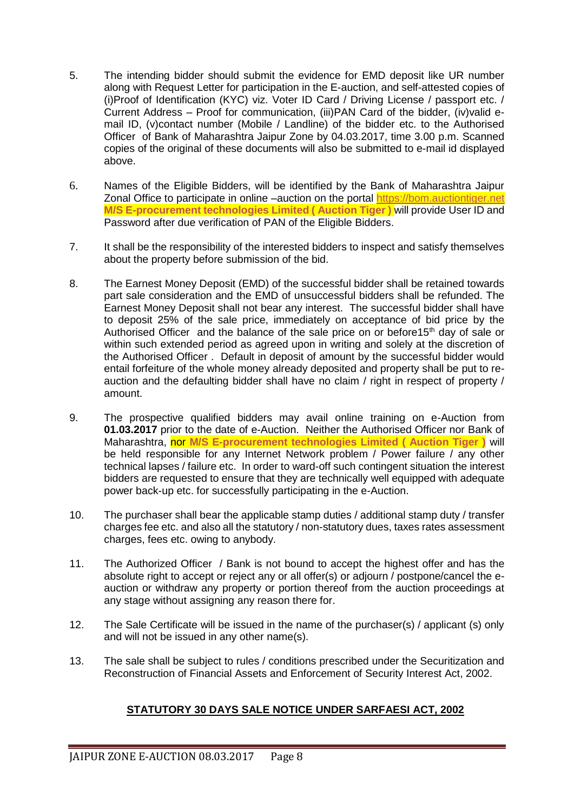- 5. The intending bidder should submit the evidence for EMD deposit like UR number along with Request Letter for participation in the E-auction, and self-attested copies of (i)Proof of Identification (KYC) viz. Voter ID Card / Driving License / passport etc. / Current Address – Proof for communication, (iii)PAN Card of the bidder, (iv)valid email ID, (v)contact number (Mobile / Landline) of the bidder etc. to the Authorised Officer of Bank of Maharashtra Jaipur Zone by 04.03.2017, time 3.00 p.m. Scanned copies of the original of these documents will also be submitted to e-mail id displayed above.
- 6. Names of the Eligible Bidders, will be identified by the Bank of Maharashtra Jaipur Zonal Office to participate in online –auction on the portal [https://bom.auctiontiger.net](https://bom.auctiontiger.net/) **M/S E-procurement technologies Limited ( Auction Tiger )** will provide User ID and Password after due verification of PAN of the Eligible Bidders.
- 7. It shall be the responsibility of the interested bidders to inspect and satisfy themselves about the property before submission of the bid.
- 8. The Earnest Money Deposit (EMD) of the successful bidder shall be retained towards part sale consideration and the EMD of unsuccessful bidders shall be refunded. The Earnest Money Deposit shall not bear any interest. The successful bidder shall have to deposit 25% of the sale price, immediately on acceptance of bid price by the Authorised Officer and the balance of the sale price on or before  $15<sup>th</sup>$  day of sale or within such extended period as agreed upon in writing and solely at the discretion of the Authorised Officer . Default in deposit of amount by the successful bidder would entail forfeiture of the whole money already deposited and property shall be put to reauction and the defaulting bidder shall have no claim / right in respect of property / amount.
- 9. The prospective qualified bidders may avail online training on e-Auction from **01.03.2017** prior to the date of e-Auction. Neither the Authorised Officer nor Bank of Maharashtra, nor **M/S E-procurement technologies Limited ( Auction Tiger )** will be held responsible for any Internet Network problem / Power failure / any other technical lapses / failure etc. In order to ward-off such contingent situation the interest bidders are requested to ensure that they are technically well equipped with adequate power back-up etc. for successfully participating in the e-Auction.
- 10. The purchaser shall bear the applicable stamp duties / additional stamp duty / transfer charges fee etc. and also all the statutory / non-statutory dues, taxes rates assessment charges, fees etc. owing to anybody.
- 11. The Authorized Officer / Bank is not bound to accept the highest offer and has the absolute right to accept or reject any or all offer(s) or adjourn / postpone/cancel the eauction or withdraw any property or portion thereof from the auction proceedings at any stage without assigning any reason there for.
- 12. The Sale Certificate will be issued in the name of the purchaser(s) / applicant (s) only and will not be issued in any other name(s).
- 13. The sale shall be subject to rules / conditions prescribed under the Securitization and Reconstruction of Financial Assets and Enforcement of Security Interest Act, 2002.

#### **STATUTORY 30 DAYS SALE NOTICE UNDER SARFAESI ACT, 2002**